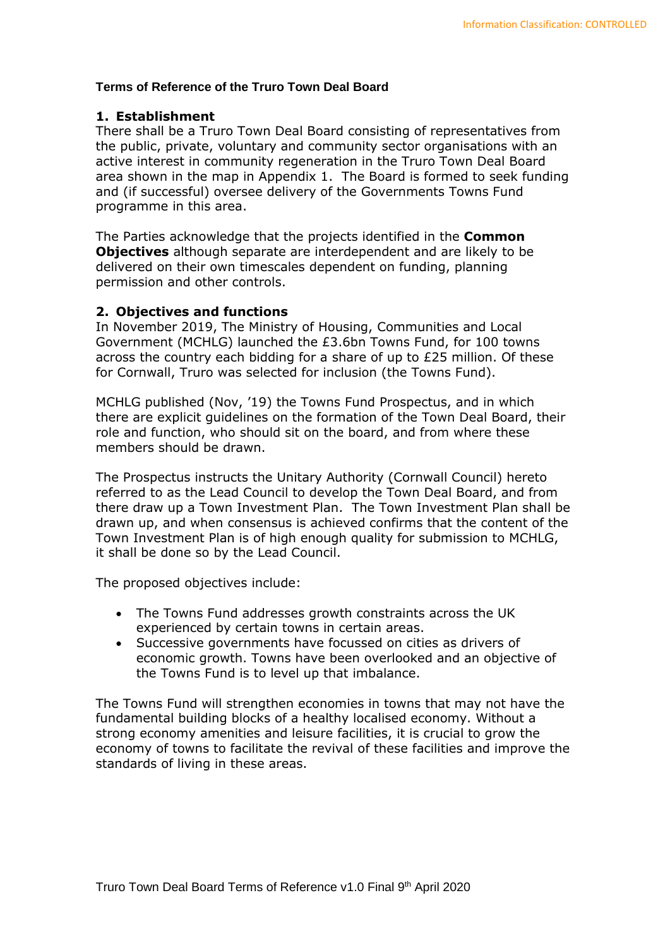# **Terms of Reference of the Truro Town Deal Board**

### **1. Establishment**

There shall be a Truro Town Deal Board consisting of representatives from the public, private, voluntary and community sector organisations with an active interest in community regeneration in the Truro Town Deal Board area shown in the map in Appendix 1. The Board is formed to seek funding and (if successful) oversee delivery of the Governments Towns Fund programme in this area.

The Parties acknowledge that the projects identified in the **Common Objectives** although separate are interdependent and are likely to be delivered on their own timescales dependent on funding, planning permission and other controls.

### **2. Objectives and functions**

In November 2019, The Ministry of Housing, Communities and Local Government (MCHLG) launched the £3.6bn Towns Fund, for 100 towns across the country each bidding for a share of up to £25 million. Of these for Cornwall, Truro was selected for inclusion (the Towns Fund).

MCHLG published (Nov, '19) the Towns Fund Prospectus, and in which there are explicit guidelines on the formation of the Town Deal Board, their role and function, who should sit on the board, and from where these members should be drawn.

The Prospectus instructs the Unitary Authority (Cornwall Council) hereto referred to as the Lead Council to develop the Town Deal Board, and from there draw up a Town Investment Plan. The Town Investment Plan shall be drawn up, and when consensus is achieved confirms that the content of the Town Investment Plan is of high enough quality for submission to MCHLG, it shall be done so by the Lead Council.

The proposed objectives include:

- The Towns Fund addresses growth constraints across the UK experienced by certain towns in certain areas.
- Successive governments have focussed on cities as drivers of economic growth. Towns have been overlooked and an objective of the Towns Fund is to level up that imbalance.

The Towns Fund will strengthen economies in towns that may not have the fundamental building blocks of a healthy localised economy. Without a strong economy amenities and leisure facilities, it is crucial to grow the economy of towns to facilitate the revival of these facilities and improve the standards of living in these areas.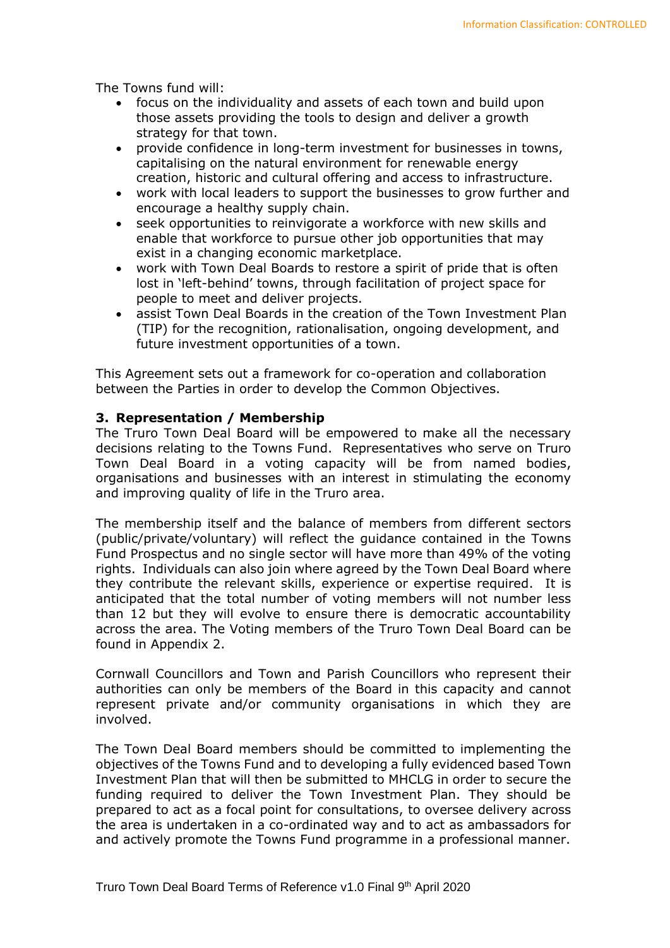The Towns fund will:

- focus on the individuality and assets of each town and build upon those assets providing the tools to design and deliver a growth strategy for that town.
- provide confidence in long-term investment for businesses in towns, capitalising on the natural environment for renewable energy creation, historic and cultural offering and access to infrastructure.
- work with local leaders to support the businesses to grow further and encourage a healthy supply chain.
- seek opportunities to reinvigorate a workforce with new skills and enable that workforce to pursue other job opportunities that may exist in a changing economic marketplace.
- work with Town Deal Boards to restore a spirit of pride that is often lost in 'left-behind' towns, through facilitation of project space for people to meet and deliver projects.
- assist Town Deal Boards in the creation of the Town Investment Plan (TIP) for the recognition, rationalisation, ongoing development, and future investment opportunities of a town.

This Agreement sets out a framework for co-operation and collaboration between the Parties in order to develop the Common Objectives.

#### **3. Representation / Membership**

The Truro Town Deal Board will be empowered to make all the necessary decisions relating to the Towns Fund. Representatives who serve on Truro Town Deal Board in a voting capacity will be from named bodies, organisations and businesses with an interest in stimulating the economy and improving quality of life in the Truro area.

The membership itself and the balance of members from different sectors (public/private/voluntary) will reflect the guidance contained in the Towns Fund Prospectus and no single sector will have more than 49% of the voting rights. Individuals can also join where agreed by the Town Deal Board where they contribute the relevant skills, experience or expertise required. It is anticipated that the total number of voting members will not number less than 12 but they will evolve to ensure there is democratic accountability across the area. The Voting members of the Truro Town Deal Board can be found in Appendix 2.

Cornwall Councillors and Town and Parish Councillors who represent their authorities can only be members of the Board in this capacity and cannot represent private and/or community organisations in which they are involved.

The Town Deal Board members should be committed to implementing the objectives of the Towns Fund and to developing a fully evidenced based Town Investment Plan that will then be submitted to MHCLG in order to secure the funding required to deliver the Town Investment Plan. They should be prepared to act as a focal point for consultations, to oversee delivery across the area is undertaken in a co-ordinated way and to act as ambassadors for and actively promote the Towns Fund programme in a professional manner.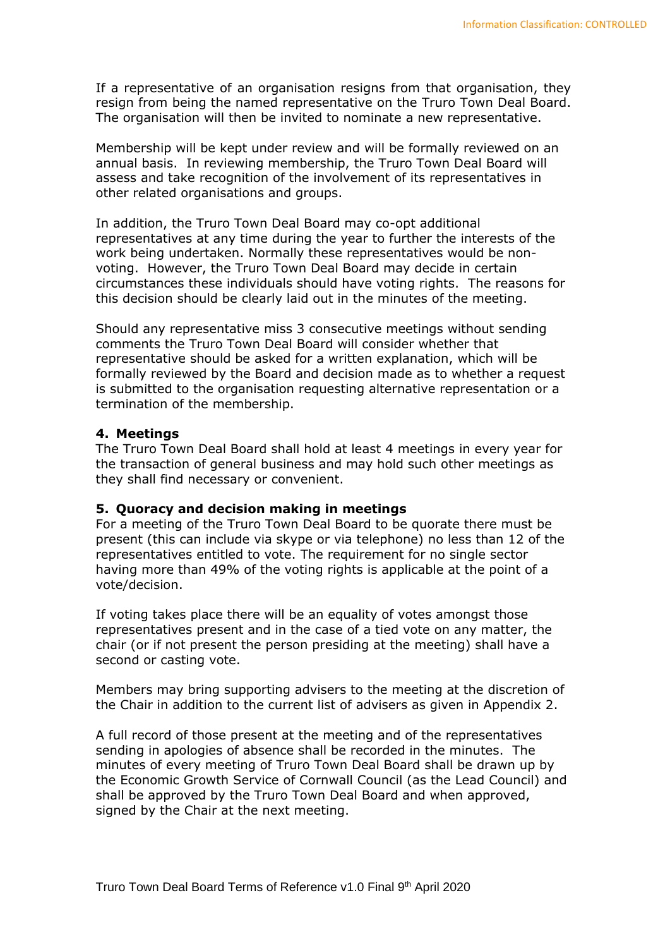If a representative of an organisation resigns from that organisation, they resign from being the named representative on the Truro Town Deal Board. The organisation will then be invited to nominate a new representative.

Membership will be kept under review and will be formally reviewed on an annual basis. In reviewing membership, the Truro Town Deal Board will assess and take recognition of the involvement of its representatives in other related organisations and groups.

In addition, the Truro Town Deal Board may co-opt additional representatives at any time during the year to further the interests of the work being undertaken. Normally these representatives would be nonvoting. However, the Truro Town Deal Board may decide in certain circumstances these individuals should have voting rights. The reasons for this decision should be clearly laid out in the minutes of the meeting.

Should any representative miss 3 consecutive meetings without sending comments the Truro Town Deal Board will consider whether that representative should be asked for a written explanation, which will be formally reviewed by the Board and decision made as to whether a request is submitted to the organisation requesting alternative representation or a termination of the membership.

#### **4. Meetings**

The Truro Town Deal Board shall hold at least 4 meetings in every year for the transaction of general business and may hold such other meetings as they shall find necessary or convenient.

#### **5. Quoracy and decision making in meetings**

For a meeting of the Truro Town Deal Board to be quorate there must be present (this can include via skype or via telephone) no less than 12 of the representatives entitled to vote. The requirement for no single sector having more than 49% of the voting rights is applicable at the point of a vote/decision.

If voting takes place there will be an equality of votes amongst those representatives present and in the case of a tied vote on any matter, the chair (or if not present the person presiding at the meeting) shall have a second or casting vote.

Members may bring supporting advisers to the meeting at the discretion of the Chair in addition to the current list of advisers as given in Appendix 2.

A full record of those present at the meeting and of the representatives sending in apologies of absence shall be recorded in the minutes. The minutes of every meeting of Truro Town Deal Board shall be drawn up by the Economic Growth Service of Cornwall Council (as the Lead Council) and shall be approved by the Truro Town Deal Board and when approved, signed by the Chair at the next meeting.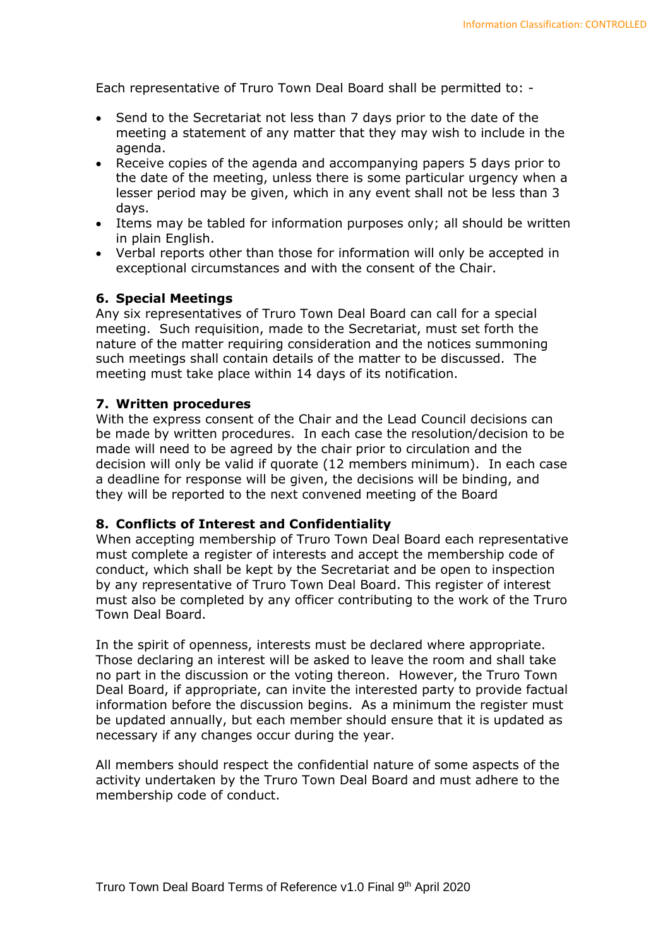Each representative of Truro Town Deal Board shall be permitted to: -

- Send to the Secretariat not less than 7 days prior to the date of the meeting a statement of any matter that they may wish to include in the agenda.
- Receive copies of the agenda and accompanying papers 5 days prior to the date of the meeting, unless there is some particular urgency when a lesser period may be given, which in any event shall not be less than 3 days.
- Items may be tabled for information purposes only; all should be written in plain English.
- Verbal reports other than those for information will only be accepted in exceptional circumstances and with the consent of the Chair.

#### **6. Special Meetings**

Any six representatives of Truro Town Deal Board can call for a special meeting. Such requisition, made to the Secretariat, must set forth the nature of the matter requiring consideration and the notices summoning such meetings shall contain details of the matter to be discussed. The meeting must take place within 14 days of its notification.

### **7. Written procedures**

With the express consent of the Chair and the Lead Council decisions can be made by written procedures. In each case the resolution/decision to be made will need to be agreed by the chair prior to circulation and the decision will only be valid if quorate (12 members minimum). In each case a deadline for response will be given, the decisions will be binding, and they will be reported to the next convened meeting of the Board

#### **8. Conflicts of Interest and Confidentiality**

When accepting membership of Truro Town Deal Board each representative must complete a register of interests and accept the membership code of conduct, which shall be kept by the Secretariat and be open to inspection by any representative of Truro Town Deal Board. This register of interest must also be completed by any officer contributing to the work of the Truro Town Deal Board.

In the spirit of openness, interests must be declared where appropriate. Those declaring an interest will be asked to leave the room and shall take no part in the discussion or the voting thereon. However, the Truro Town Deal Board, if appropriate, can invite the interested party to provide factual information before the discussion begins. As a minimum the register must be updated annually, but each member should ensure that it is updated as necessary if any changes occur during the year.

All members should respect the confidential nature of some aspects of the activity undertaken by the Truro Town Deal Board and must adhere to the membership code of conduct.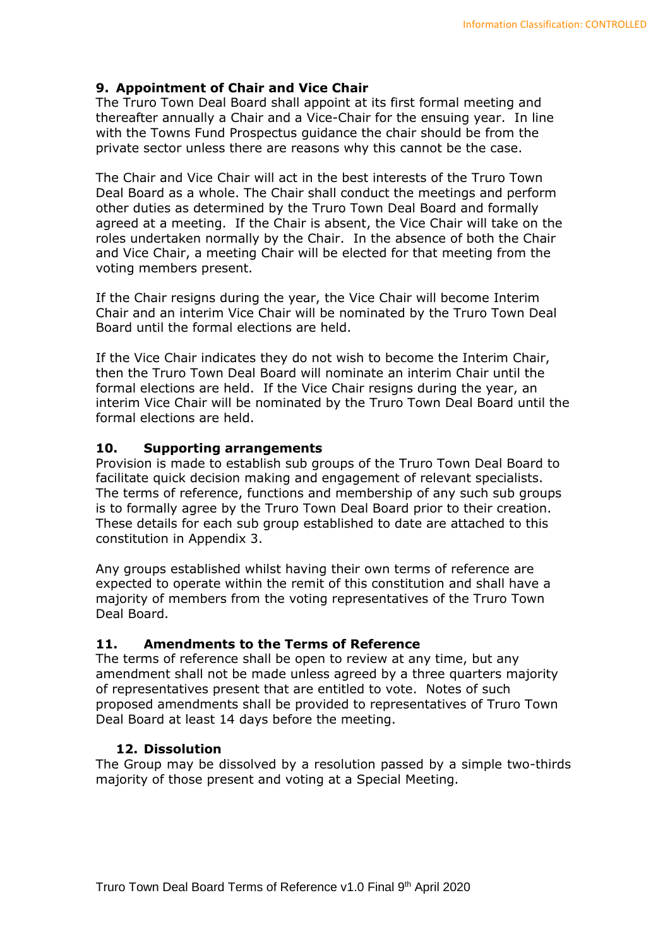# **9. Appointment of Chair and Vice Chair**

The Truro Town Deal Board shall appoint at its first formal meeting and thereafter annually a Chair and a Vice-Chair for the ensuing year. In line with the Towns Fund Prospectus guidance the chair should be from the private sector unless there are reasons why this cannot be the case.

The Chair and Vice Chair will act in the best interests of the Truro Town Deal Board as a whole. The Chair shall conduct the meetings and perform other duties as determined by the Truro Town Deal Board and formally agreed at a meeting. If the Chair is absent, the Vice Chair will take on the roles undertaken normally by the Chair. In the absence of both the Chair and Vice Chair, a meeting Chair will be elected for that meeting from the voting members present.

If the Chair resigns during the year, the Vice Chair will become Interim Chair and an interim Vice Chair will be nominated by the Truro Town Deal Board until the formal elections are held.

If the Vice Chair indicates they do not wish to become the Interim Chair, then the Truro Town Deal Board will nominate an interim Chair until the formal elections are held. If the Vice Chair resigns during the year, an interim Vice Chair will be nominated by the Truro Town Deal Board until the formal elections are held.

# **10. Supporting arrangements**

Provision is made to establish sub groups of the Truro Town Deal Board to facilitate quick decision making and engagement of relevant specialists. The terms of reference, functions and membership of any such sub groups is to formally agree by the Truro Town Deal Board prior to their creation. These details for each sub group established to date are attached to this constitution in Appendix 3.

Any groups established whilst having their own terms of reference are expected to operate within the remit of this constitution and shall have a majority of members from the voting representatives of the Truro Town Deal Board.

# **11. Amendments to the Terms of Reference**

The terms of reference shall be open to review at any time, but any amendment shall not be made unless agreed by a three quarters majority of representatives present that are entitled to vote. Notes of such proposed amendments shall be provided to representatives of Truro Town Deal Board at least 14 days before the meeting.

# **12. Dissolution**

The Group may be dissolved by a resolution passed by a simple two-thirds majority of those present and voting at a Special Meeting.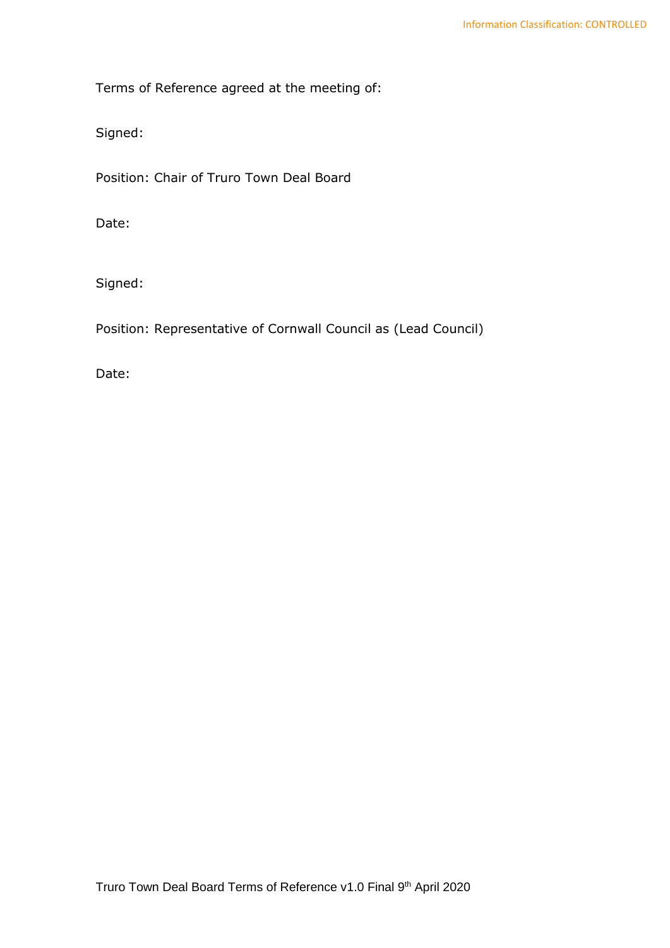Terms of Reference agreed at the meeting of:

Signed:

Position: Chair of Truro Town Deal Board

Date:

Signed:

Position: Representative of Cornwall Council as (Lead Council)

Date: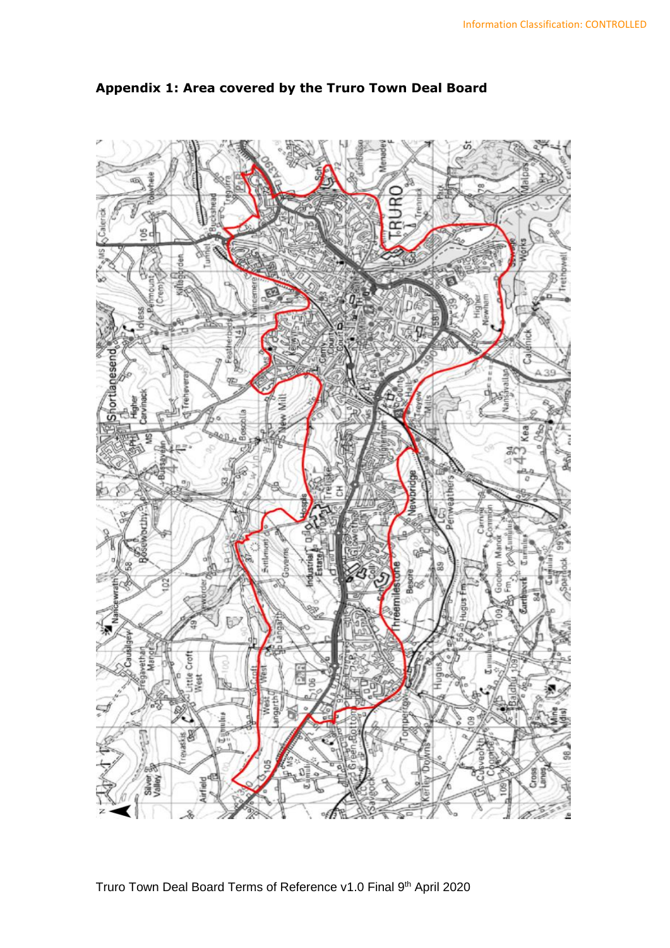

# **Appendix 1: Area covered by the Truro Town Deal Board**

Truro Town Deal Board Terms of Reference v1.0 Final 9<sup>th</sup> April 2020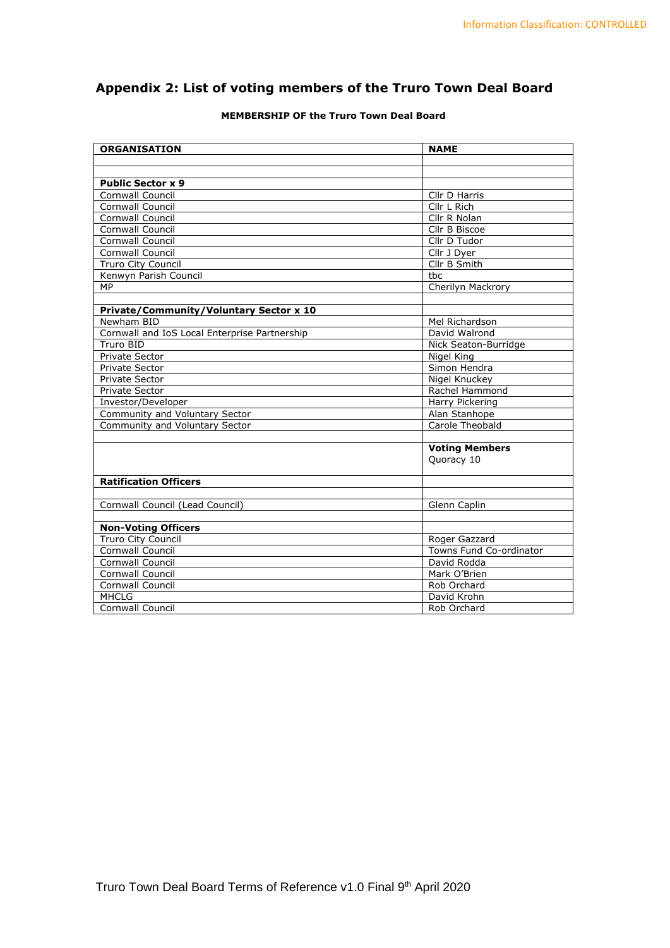# **Appendix 2: List of voting members of the Truro Town Deal Board**

|  | <b>MEMBERSHIP OF the Truro Town Deal Board</b> |  |  |  |  |  |  |
|--|------------------------------------------------|--|--|--|--|--|--|
|--|------------------------------------------------|--|--|--|--|--|--|

| <b>ORGANISATION</b>                           | <b>NAME</b>             |
|-----------------------------------------------|-------------------------|
|                                               |                         |
|                                               |                         |
| <b>Public Sector x 9</b>                      |                         |
| Cornwall Council                              | Cllr D Harris           |
| <b>Cornwall Council</b>                       | Cllr L Rich             |
| Cornwall Council                              | Cllr R Nolan            |
| Cornwall Council                              | Cllr B Biscoe           |
| Cornwall Council                              | Cllr D Tudor            |
| Cornwall Council                              | Cllr J Dyer             |
| <b>Truro City Council</b>                     | Cllr B Smith            |
| Kenwyn Parish Council                         | tbc                     |
| MP                                            | Cherilyn Mackrory       |
|                                               |                         |
| Private/Community/Voluntary Sector x 10       |                         |
| Newham BID                                    | Mel Richardson          |
| Cornwall and IoS Local Enterprise Partnership | David Walrond           |
| Truro BID                                     | Nick Seaton-Burridge    |
| <b>Private Sector</b>                         | Nigel King              |
| Private Sector                                | Simon Hendra            |
| <b>Private Sector</b>                         | Nigel Knuckey           |
| Private Sector                                | Rachel Hammond          |
| Investor/Developer                            | Harry Pickering         |
| Community and Voluntary Sector                | Alan Stanhope           |
| Community and Voluntary Sector                | Carole Theobald         |
|                                               |                         |
|                                               | <b>Voting Members</b>   |
|                                               | Quoracy 10              |
|                                               |                         |
| <b>Ratification Officers</b>                  |                         |
|                                               |                         |
| Cornwall Council (Lead Council)               | Glenn Caplin            |
|                                               |                         |
| <b>Non-Voting Officers</b>                    |                         |
| Truro City Council                            | Roger Gazzard           |
| Cornwall Council                              | Towns Fund Co-ordinator |
| <b>Cornwall Council</b>                       | David Rodda             |
| Cornwall Council                              | Mark O'Brien            |
| Cornwall Council                              | Rob Orchard             |
| <b>MHCLG</b>                                  | David Krohn             |
| Cornwall Council                              | Rob Orchard             |